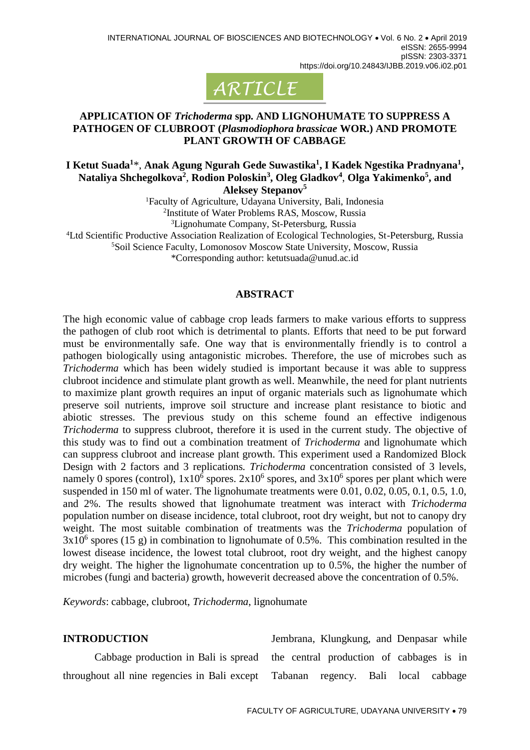

## **APPLICATION OF** *Trichoderma* **spp. AND LIGNOHUMATE TO SUPPRESS A PATHOGEN OF CLUBROOT (***Plasmodiophora brassicae* **WOR.) AND PROMOTE PLANT GROWTH OF CABBAGE**

**I Ketut Suada<sup>1</sup>** \*, **Anak Agung Ngurah Gede Suwastika<sup>1</sup> , I Kadek Ngestika Pradnyana<sup>1</sup> , Nataliya Shchegolkova<sup>2</sup>** , **Rodion Poloskin<sup>3</sup> , Oleg Gladkov<sup>4</sup>** , **Olga Yakimenko<sup>5</sup> , and Aleksey Stepanov<sup>5</sup>**

Faculty of Agriculture, Udayana University, Bali, Indonesia Institute of Water Problems RAS, Moscow, Russia Ltd Scientific Productive Association Realization of Ecological Technologies, St-Petersburg, Russia Soil Science Faculty, Lomonosov Moscow State University, Moscow, Russia Lignohumate Company, St-Petersburg, Russia

\*Corresponding author: [ketutsuada@unud.ac.id](mailto:ketutsuada@unud.ac.id)

### **ABSTRACT**

The high economic value of cabbage crop leads farmers to make various efforts to suppress the pathogen of club root which is detrimental to plants. Efforts that need to be put forward must be environmentally safe. One way that is environmentally friendly is to control a pathogen biologically using antagonistic microbes. Therefore, the use of microbes such as *Trichoderma* which has been widely studied is important because it was able to suppress clubroot incidence and stimulate plant growth as well. Meanwhile, the need for plant nutrients to maximize plant growth requires an input of organic materials such as lignohumate which preserve soil nutrients, improve soil structure and increase plant resistance to biotic and abiotic stresses. The previous study on this scheme found an effective indigenous *Trichoderma* to suppress clubroot, therefore it is used in the current study. The objective of this study was to find out a combination treatment of *Trichoderma* and lignohumate which can suppress clubroot and increase plant growth. This experiment used a Randomized Block Design with 2 factors and 3 replications. *Trichoderma* concentration consisted of 3 levels, namely 0 spores (control),  $1x10^6$  spores.  $2x10^6$  spores, and  $3x10^6$  spores per plant which were suspended in 150 ml of water. The lignohumate treatments were 0.01, 0.02, 0.05, 0.1, 0.5, 1.0, and 2%. The results showed that lignohumate treatment was interact with *Trichoderma*  population number on disease incidence, total clubroot, root dry weight, but not to canopy dry weight. The most suitable combination of treatments was the *Trichoderma* population of  $3x10<sup>6</sup>$  spores (15 g) in combination to lignohumate of 0.5%. This combination resulted in the lowest disease incidence, the lowest total clubroot, root dry weight, and the highest canopy dry weight. The higher the lignohumate concentration up to 0.5%, the higher the number of microbes (fungi and bacteria) growth, howeverit decreased above the concentration of 0.5%.

*Keywords*: cabbage, clubroot, *Trichoderma*, lignohumate

## **INTRODUCTION**

Cabbage production in Bali is spread throughout all nine regencies in Bali except

Jembrana, Klungkung, and Denpasar while the central production of cabbages is in Tabanan regency. Bali local cabbage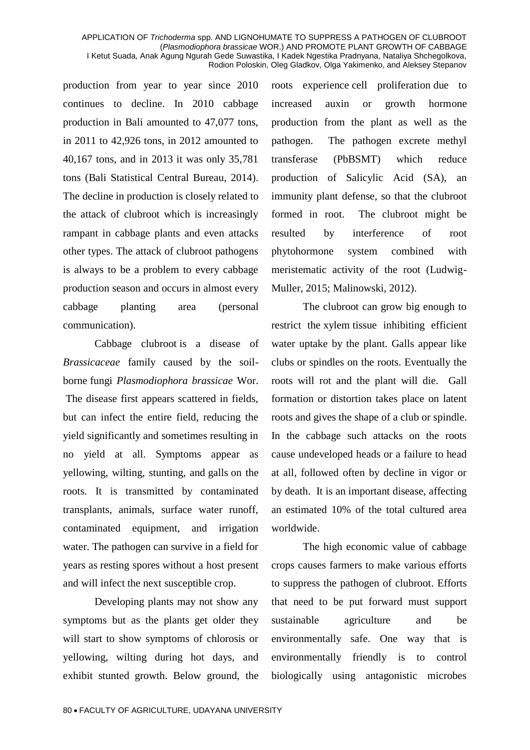production from year to year since 2010 continues to decline. In 2010 cabbage production in Bali amounted to 47,077 tons, in 2011 to 42,926 tons, in 2012 amounted to 40,167 tons, and in 2013 it was only 35,781 tons (Bali Statistical Central Bureau, 2014). The decline in production is closely related to the attack of clubroot which is increasingly rampant in cabbage plants and even attacks other types. The attack of clubroot pathogens is always to be a problem to every cabbage production season and occurs in almost every cabbage planting area (personal communication).

Cabbage clubroot is a [disease](https://en.wikipedia.org/wiki/Disease) of *[Brassicaceae](https://en.wikipedia.org/wiki/Brassicaceae)* family caused by the soilborne fungi *Plasmodiophora brassicae* Wor. The disease first appears scattered in fields, but can infect the entire field, reducing the yield significantly and sometimes resulting in no yield at all. Symptoms appear as yellowing, wilting, stunting, and [galls](https://en.wikipedia.org/wiki/Galls) on the roots. It is transmitted by contaminated transplants, animals, surface water runoff, contaminated equipment, and irrigation water. The pathogen can survive in a field for years as [resting spores](https://en.wikipedia.org/wiki/Resting_spores) without a host present and will infect the next susceptible crop.

Developing plants may not show any [symptoms](https://en.wikipedia.org/wiki/Symptoms) but as the plants get older they will start to show symptoms of chlorosis or yellowing, wilting during hot days, and exhibit stunted growth. Below ground, the roots experience cell [proliferation](https://en.wikipedia.org/wiki/Cell_proliferation) due to increased [auxin](https://en.wikipedia.org/wiki/Auxin) or growth [hormone](https://en.wikipedia.org/wiki/Hormone) production from the plant as well as the pathogen. The pathogen excrete methyl transferase (PbBSMT) which reduce production of Salicylic Acid (SA), an immunity plant defense, so that the clubroot formed in root. The clubroot might be resulted by interference of root phytohormone system combined with meristematic activity of the root (Ludwig-Muller, 2015; Malinowski, 2012).

The clubroot can grow big enough to restrict the [xylem](https://en.wikipedia.org/wiki/Xylem) tissue inhibiting efficient water uptake by the plant. Galls appear like clubs or spindles on the roots. Eventually the roots will rot and the plant will die. Gall formation or distortion takes place on latent roots and gives the shape of a club or spindle. In the cabbage such attacks on the roots cause undeveloped heads or a failure to head at all, followed often by decline in vigor or by death. It is an important disease, affecting an estimated 10% of the total cultured area worldwide.

The high economic value of cabbage crops causes farmers to make various efforts to suppress the pathogen of clubroot. Efforts that need to be put forward must support sustainable agriculture and be environmentally safe. One way that is environmentally friendly is to control biologically using antagonistic microbes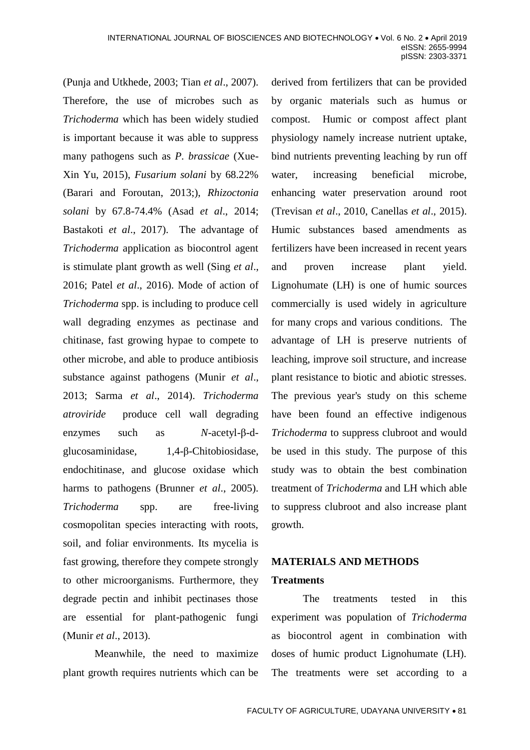(Punja and Utkhede, 2003; Tian *et al*., 2007). Therefore, the use of microbes such as *Trichoderma* which has been widely studied is important because it was able to suppress many pathogens such as *P. brassicae* [\(Xue-](https://www.tandfonline.com/author/Yu%2C+Xue-Xin)[Xin Yu,](https://www.tandfonline.com/author/Yu%2C+Xue-Xin) 2015), *Fusarium solani* by 68.22% (Barari and Foroutan, 2013;), *Rhizoctonia solani* by 67.8-74.4% (Asad *et al*., 2014; Bastakoti *et al*., 2017). The advantage of *Trichoderma* application as biocontrol agent is stimulate plant growth as well (Sing *et al*., 2016; Patel *et al*., 2016). Mode of action of *Trichoderma* spp. is including to produce cell wall degrading enzymes as pectinase and chitinase, fast growing hypae to compete to other microbe, and able to produce antibiosis substance against pathogens (Munir *et al*., 2013; Sarma *et al*., 2014). *Trichoderma atroviride* produce cell wall degrading enzymes such as *N*-acetyl-β-dglucosaminidase, 1,4-β-Chitobiosidase, endochitinase, and glucose oxidase which harms to pathogens (Brunner *et al*., 2005). *Trichoderma* spp. are free-living cosmopolitan species interacting with roots, soil, and foliar environments. Its mycelia is fast growing, therefore they compete strongly to other microorganisms. Furthermore, they degrade pectin and inhibit pectinases those are essential for plant-pathogenic fungi (Munir *et al*., 2013).

Meanwhile, the need to maximize plant growth requires nutrients which can be

derived from fertilizers that can be provided by organic materials such as humus or compost. Humic or compost affect plant physiology namely increase nutrient uptake, bind nutrients preventing leaching by run off water, increasing beneficial microbe, enhancing water preservation around root (Trevisan *et al*., 2010, Canellas *et al*., 2015). Humic substances based amendments as fertilizers have been increased in recent years and proven increase plant yield. Lignohumate (LH) is one of humic sources commercially is used widely in agriculture for many crops and various conditions. The advantage of LH is preserve nutrients of leaching, improve soil structure, and increase plant resistance to biotic and abiotic stresses. The previous year's study on this scheme have been found an effective indigenous *Trichoderma* to suppress clubroot and would be used in this study. The purpose of this study was to obtain the best combination treatment of *Trichoderma* and LH which able to suppress clubroot and also increase plant growth.

# **MATERIALS AND METHODS Treatments**

The treatments tested in this experiment was population of *Trichoderma* as biocontrol agent in combination with doses of humic product Lignohumate (LH). The treatments were set according to a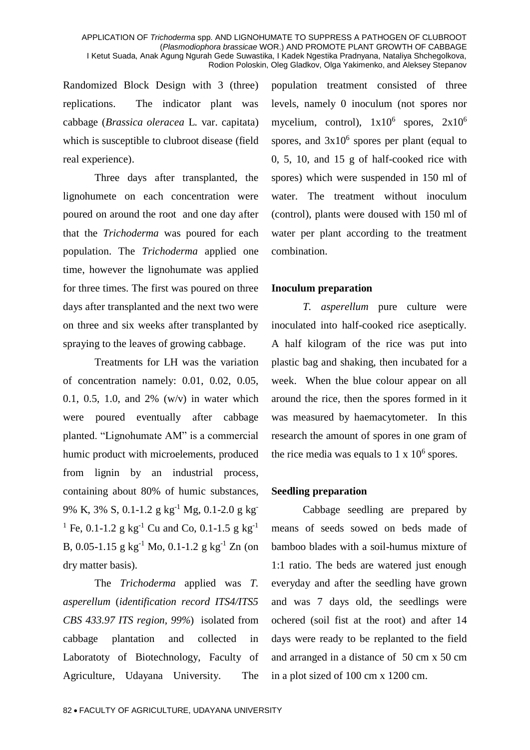Randomized Block Design with 3 (three) replications. The indicator plant was cabbage (*Brassica oleracea* L. var. capitata) which is susceptible to clubroot disease (field real experience).

Three days after transplanted, the lignohumete on each concentration were poured on around the root and one day after that the *Trichoderma* was poured for each population. The *Trichoderma* applied one time, however the lignohumate was applied for three times. The first was poured on three days after transplanted and the next two were on three and six weeks after transplanted by spraying to the leaves of growing cabbage.

Treatments for LH was the variation of concentration namely: 0.01, 0.02, 0.05, 0.1, 0.5, 1.0, and 2% (w/v) in water which were poured eventually after cabbage planted. "Lignohumate AM" is a commercial humic product with microelements, produced from lignin by an industrial process, containing about 80% of humic substances, 9% K, 3% S, 0.1-1.2 g kg-1 Mg, 0.1-2.0 g kg-<sup>1</sup> Fe, 0.1-1.2 g kg<sup>-1</sup> Cu and Co, 0.1-1.5 g kg<sup>-1</sup> B, 0.05-1.15 g kg<sup>-1</sup> Mo, 0.1-1.2 g kg<sup>-1</sup> Zn (on dry matter basis).

The *Trichoderma* applied was *T. asperellum* (*identification record ITS4/ITS5 CBS 433.97 ITS region, 99%*)isolated from cabbage plantation and collected in Laboratoty of Biotechnology, Faculty of Agriculture, Udayana University.The population treatment consisted of three levels, namely 0 inoculum (not spores nor mycelium, control),  $1x10^6$  spores,  $2x10^6$ spores, and  $3x10^6$  spores per plant (equal to 0, 5, 10, and 15 g of half-cooked rice with spores) which were suspended in 150 ml of water. The treatment without inoculum (control), plants were doused with 150 ml of water per plant according to the treatment combination.

### **Inoculum preparation**

*T. asperellum* pure culture were inoculated into half-cooked rice aseptically. A half kilogram of the rice was put into plastic bag and shaking, then incubated for a week. When the blue colour appear on all around the rice, then the spores formed in it was measured by haemacytometer. In this research the amount of spores in one gram of the rice media was equals to  $1 \times 10^6$  spores.

### **Seedling preparation**

Cabbage seedling are prepared by means of seeds sowed on beds made of bamboo blades with a soil-humus mixture of 1:1 ratio. The beds are watered just enough everyday and after the seedling have grown and was 7 days old, the seedlings were ochered (soil fist at the root) and after 14 days were ready to be replanted to the field and arranged in a distance of 50 cm x 50 cm in a plot sized of 100 cm x 1200 cm.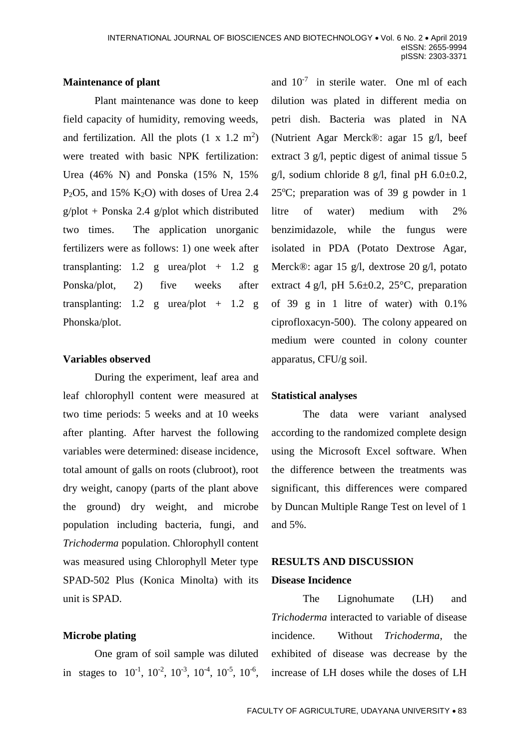## **Maintenance of plant**

Plant maintenance was done to keep field capacity of humidity, removing weeds, and fertilization. All the plots  $(1 \times 1.2 \text{ m}^2)$ were treated with basic NPK fertilization: Urea (46% N) and Ponska (15% N, 15% P<sub>2</sub>O5, and 15% K<sub>2</sub>O) with doses of Urea 2.4 g/plot + Ponska 2.4 g/plot which distributed two times. The application unorganic fertilizers were as follows: 1) one week after transplanting: 1.2 g urea/plot + 1.2 g Ponska/plot, 2) five weeks after transplanting:  $1.2$  g urea/plot +  $1.2$  g Phonska/plot.

### **Variables observed**

During the experiment, leaf area and leaf chlorophyll content were measured at two time periods: 5 weeks and at 10 weeks after planting. After harvest the following variables were determined: disease incidence, total amount of galls on roots (clubroot), root dry weight, canopy (parts of the plant above the ground) dry weight, and microbe population including bacteria, fungi, and *Trichoderma* population. Chlorophyll content was measured using Chlorophyll Meter type SPAD-502 Plus (Konica Minolta) with its unit is SPAD.

## **Microbe plating**

One gram of soil sample was diluted in stages to  $10^{-1}$ ,  $10^{-2}$ ,  $10^{-3}$ ,  $10^{-4}$ ,  $10^{-5}$ ,  $10^{-6}$ ,

and  $10^{-7}$  in sterile water. One ml of each dilution was plated in different media on petri dish. Bacteria was plated in NA (Nutrient Agar Merck®: agar 15 g/l, beef extract 3 g/l, peptic digest of animal tissue 5 g/l, sodium chloride 8 g/l, final pH  $6.0\pm0.2$ , 25 $^{\circ}$ C; preparation was of 39 g powder in 1 litre of water) medium with 2% benzimidazole, while the fungus were isolated in PDA (Potato Dextrose Agar, Merck®: agar 15 g/l, dextrose 20 g/l, potato extract 4 g/l, pH 5.6 $\pm$ 0.2, 25 $\degree$ C, preparation of 39 g in 1 litre of water) with 0.1% ciprofloxacyn-500). The colony appeared on medium were counted in colony counter apparatus, CFU/g soil.

## **Statistical analyses**

The data were variant analysed according to the randomized complete design using the Microsoft Excel software. When the difference between the treatments was significant, this differences were compared by Duncan Multiple Range Test on level of 1 and 5%.

## **RESULTS AND DISCUSSION Disease Incidence**

The Lignohumate (LH) and *Trichoderma* interacted to variable of disease incidence. Without *Trichoderma*, the exhibited of disease was decrease by the increase of LH doses while the doses of LH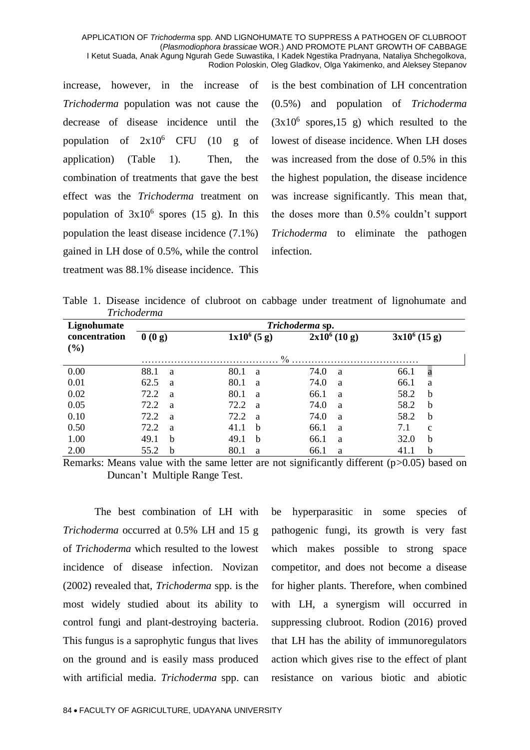increase, however, in the increase of *Trichoderma* population was not cause the decrease of disease incidence until the population of  $2x10^6$  CFU (10 g of application) (Table 1). Then, the combination of treatments that gave the best effect was the *Trichoderma* treatment on population of  $3x10^6$  spores (15 g). In this population the least disease incidence (7.1%) gained in LH dose of 0.5%, while the control treatment was 88.1% disease incidence. This is the best combination of LH concentration (0.5%) and population of *Trichoderma*  $(3x10^6 \text{ spores},15 \text{ g})$  which resulted to the lowest of disease incidence. When LH doses was increased from the dose of 0.5% in this the highest population, the disease incidence was increase significantly. This mean that, the doses more than 0.5% couldn't support *Trichoderma* to eliminate the pathogen infection.

Table 1. Disease incidence of clubroot on cabbage under treatment of lignohumate and *Trichoderma*

| Lignohumate   | Trichoderma sp. |  |      |                |                |   |                 |              |  |  |
|---------------|-----------------|--|------|----------------|----------------|---|-----------------|--------------|--|--|
| concentration | 0(0g)           |  |      | $1x10^6 (5 g)$ | $2x10^6(10 g)$ |   | $3x10^6$ (15 g) |              |  |  |
| (%)           |                 |  |      |                |                |   |                 |              |  |  |
|               |                 |  |      | $\frac{0}{0}$  |                |   |                 |              |  |  |
| 0.00          | 88.1<br>a       |  | 80.1 | <sub>a</sub>   | 74.0           | a | 66.1            | $\mathbf a$  |  |  |
| 0.01          | 62.5<br>a       |  | 80.1 | <sub>a</sub>   | 74.0           | a | 66.1            | a            |  |  |
| 0.02          | 72.2<br>a       |  | 80.1 | a              | 66.1           | a | 58.2            | $\mathbf b$  |  |  |
| 0.05          | 72.2<br>a       |  | 72.2 | <sub>a</sub>   | 74.0           | a | 58.2            | $\mathbf b$  |  |  |
| 0.10          | 72.2<br>a       |  | 72.2 | <sub>a</sub>   | 74.0           | a | 58.2            | $\mathbf b$  |  |  |
| 0.50          | 72.2<br>a       |  | 41.1 | b              | 66.1           | a | 7.1             | $\mathbf{C}$ |  |  |
| 1.00          | 49.1<br>b       |  | 49.1 | b              | 66.1           | a | 32.0            | b            |  |  |
| 2.00          | 55.2<br>b       |  | 80.1 | a              | 66.1           | a | 41.1            | b            |  |  |

Remarks: Means value with the same letter are not significantly different (p>0.05) based on Duncan't Multiple Range Test.

The best combination of LH with *Trichoderma* occurred at 0.5% LH and 15 g of *Trichoderma* which resulted to the lowest incidence of disease infection. Novizan (2002) revealed that, *Trichoderma* spp. is the most widely studied about its ability to control fungi and plant-destroying bacteria. This fungus is a saprophytic fungus that lives on the ground and is easily mass produced with artificial media. *Trichoderma* spp. can

be hyperparasitic in some species of pathogenic fungi, its growth is very fast which makes possible to strong space competitor, and does not become a disease for higher plants. Therefore, when combined with LH, a synergism will occurred in suppressing clubroot. Rodion (2016) proved that LH has the ability of immunoregulators action which gives rise to the effect of plant resistance on various biotic and abiotic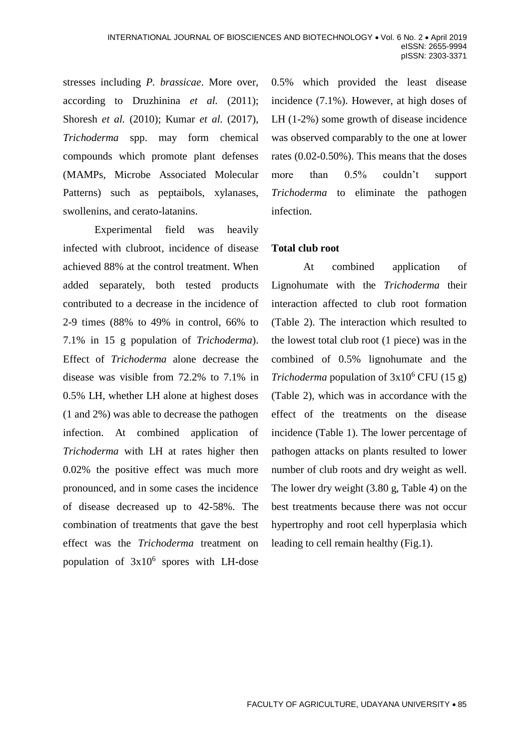stresses including *P. brassicae*. More over, according to Druzhinina *et al.* (2011); Shoresh *et al.* (2010); Kumar *et al.* (2017), *Trichoderma* spp. may form chemical compounds which promote plant defenses (MAMPs, Microbe Associated Molecular Patterns) such as peptaibols, xylanases, swollenins, and cerato-latanins.

Experimental field was heavily infected with clubroot, incidence of disease achieved 88% at the control treatment. When added separately, both tested products contributed to a decrease in the incidence of 2-9 times (88% to 49% in control, 66% to 7.1% in 15 g population of *Trichoderma*). Effect of *Trichoderma* alone decrease the disease was visible from 72.2% to 7.1% in 0.5% LH, whether LH alone at highest doses (1 and 2%) was able to decrease the pathogen infection. At combined application of *Trichoderma* with LH at rates higher then 0.02% the positive effect was much more pronounced, and in some cases the incidence of disease decreased up to 42-58%. The combination of treatments that gave the best effect was the *Trichoderma* treatment on population of  $3x10^6$  spores with LH-dose 0.5% which provided the least disease incidence (7.1%). However, at high doses of LH (1-2%) some growth of disease incidence was observed comparably to the one at lower rates (0.02-0.50%). This means that the doses more than 0.5% couldn't support *Trichoderma* to eliminate the pathogen infection.

## **Total club root**

At combined application of Lignohumate with the *Trichoderma* their interaction affected to club root formation (Table 2). The interaction which resulted to the lowest total club root (1 piece) was in the combined of 0.5% lignohumate and the *Trichoderma* population of  $3x10^6$  CFU (15 g) (Table 2), which was in accordance with the effect of the treatments on the disease incidence (Table 1). The lower percentage of pathogen attacks on plants resulted to lower number of club roots and dry weight as well. The lower dry weight (3.80 g, Table 4) on the best treatments because there was not occur hypertrophy and root cell hyperplasia which leading to cell remain healthy (Fig.1).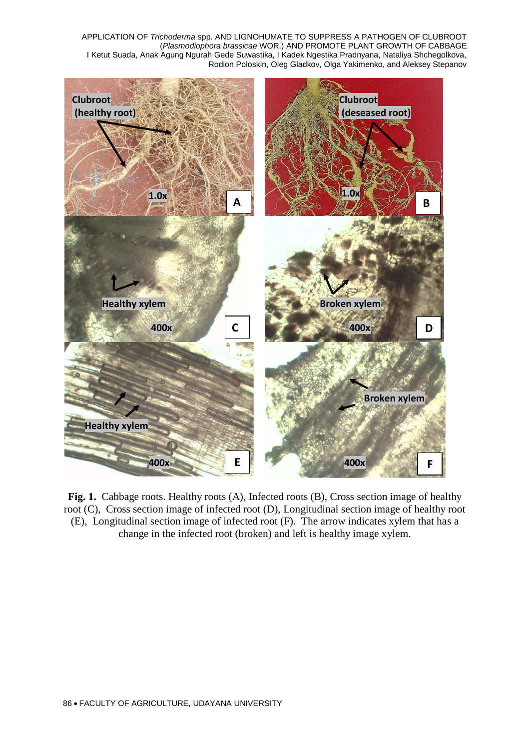

**Fig. 1.** Cabbage roots. Healthy roots (A), Infected roots (B), Cross section image of healthy root (C), Cross section image of infected root (D), Longitudinal section image of healthy root (E), Longitudinal section image of infected root (F). The arrow indicates xylem that has a change in the infected root (broken) and left is healthy image xylem.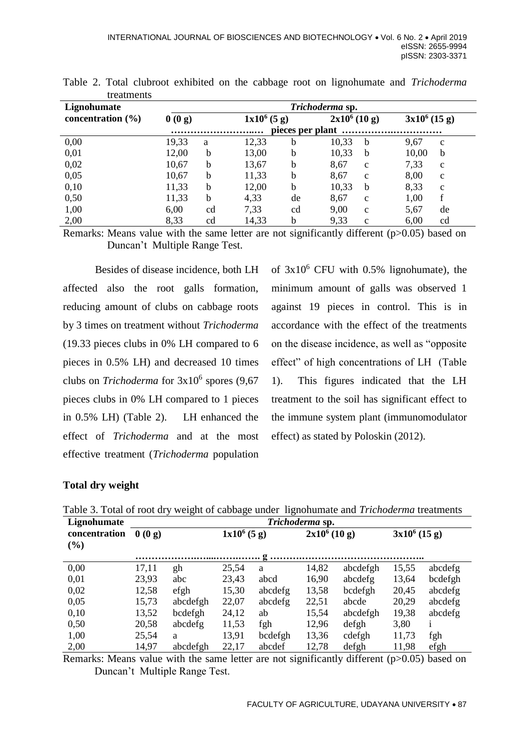| Lignohumate           |       | Trichoderma sp. |                |    |                      |                      |  |  |  |  |
|-----------------------|-------|-----------------|----------------|----|----------------------|----------------------|--|--|--|--|
| concentration $(\% )$ | 0(0g) |                 | $1x10^6 (5 g)$ |    | $2x10^6(10 g)$       | $3x10^6$ (15 g)      |  |  |  |  |
|                       |       |                 |                |    | pieces per plant     |                      |  |  |  |  |
| 0,00                  | 19,33 | a               | 12,33          | b  | 10,33<br>b           | 9,67<br>$\mathbf c$  |  |  |  |  |
| 0,01                  | 12,00 | $\mathbf b$     | 13,00          | b  | 10,33<br>b           | 10,00<br>b           |  |  |  |  |
| 0,02                  | 10,67 | b               | 13,67          | b  | 8,67<br>$\mathbf{c}$ | 7,33<br>$\mathbf{C}$ |  |  |  |  |
| 0,05                  | 10,67 | b               | 11,33          | b  | 8,67<br>$\mathbf{c}$ | 8,00<br>$\mathbf c$  |  |  |  |  |
| 0,10                  | 11,33 | b               | 12,00          | b  | 10,33<br>b           | 8,33<br>$\mathbf c$  |  |  |  |  |
| 0,50                  | 11,33 | b               | 4,33           | de | 8,67<br>$\mathbf{C}$ | 1,00<br>f            |  |  |  |  |
| 1,00                  | 6,00  | cd              | 7,33           | cd | 9,00<br>$\mathbf{C}$ | 5,67<br>de           |  |  |  |  |
| 2,00                  | 8,33  | cd              | 14,33          | b  | 9,33<br>$\mathbf{c}$ | 6,00<br>cd           |  |  |  |  |

Table 2. Total clubroot exhibited on the cabbage root on lignohumate and *Trichoderma*  treatments

Remarks: Means value with the same letter are not significantly different (p>0.05) based on Duncan't Multiple Range Test.

Besides of disease incidence, both LH affected also the root galls formation, reducing amount of clubs on cabbage roots by 3 times on treatment without *Trichoderma* (19.33 pieces clubs in 0% LH compared to 6 pieces in 0.5% LH) and decreased 10 times clubs on *Trichoderma* for  $3x10^6$  spores (9,67) pieces clubs in 0% LH compared to 1 pieces in 0.5% LH) (Table 2). LH enhanced the effect of *Trichoderma* and at the most effective treatment (*Trichoderma* population

of  $3x10^6$  CFU with 0.5% lignohumate), the minimum amount of galls was observed 1 against 19 pieces in control. This is in accordance with the effect of the treatments on the disease incidence, as well as "opposite effect" of high concentrations of LH (Table 1). This figures indicated that the LH treatment to the soil has significant effect to the immune system plant (immunomodulator effect) as stated by Poloskin (2012).

## **Total dry weight**

| Lignohumate   | Trichoderma sp. |                |                |         |                 |          |                 |              |  |  |  |
|---------------|-----------------|----------------|----------------|---------|-----------------|----------|-----------------|--------------|--|--|--|
| concentration | 0(0g)           |                | $1x10^6 (5 g)$ |         | $2x10^6 (10 g)$ |          | $3x10^6$ (15 g) |              |  |  |  |
| (%)           |                 |                |                |         |                 |          |                 |              |  |  |  |
|               |                 |                |                |         |                 |          |                 |              |  |  |  |
| 0,00          | 17,11           | gh             | 25,54          | a       | 14,82           | abcdefgh | 15,55           | abcdefg      |  |  |  |
| 0,01          | 23,93           | abc            | 23,43          | abcd    | 16,90           | abcdefg  | 13,64           | bcdefgh      |  |  |  |
| 0,02          | 12,58           | $\epsilon$ fgh | 15,30          | abcdefg | 13,58           | bcdefgh  | 20,45           | abcdefg      |  |  |  |
| 0,05          | 15,73           | abcdefgh       | 22,07          | abcdefg | 22,51           | abcde    | 20,29           | abcdefg      |  |  |  |
| 0,10          | 13,52           | bcdefgh        | 24,12          | ab      | 15,54           | abcdefgh | 19,38           | abcdefg      |  |  |  |
| 0,50          | 20,58           | abcdefg        | 11,53          | fgh     | 12,96           | defgh    | 3,80            | $\mathbf{1}$ |  |  |  |
| 1,00          | 25,54           | a              | 13,91          | bcdefgh | 13,36           | cdefgh   | 11,73           | fgh          |  |  |  |
| 2,00          | 14,97           | abcdefgh       | 22,17          | abcdef  | 12,78           | defgh    | 11,98           | efgh         |  |  |  |

Table 3. Total of root dry weight of cabbage under lignohumate and *Trichoderma* treatments

Remarks: Means value with the same letter are not significantly different (p>0.05) based on Duncan't Multiple Range Test.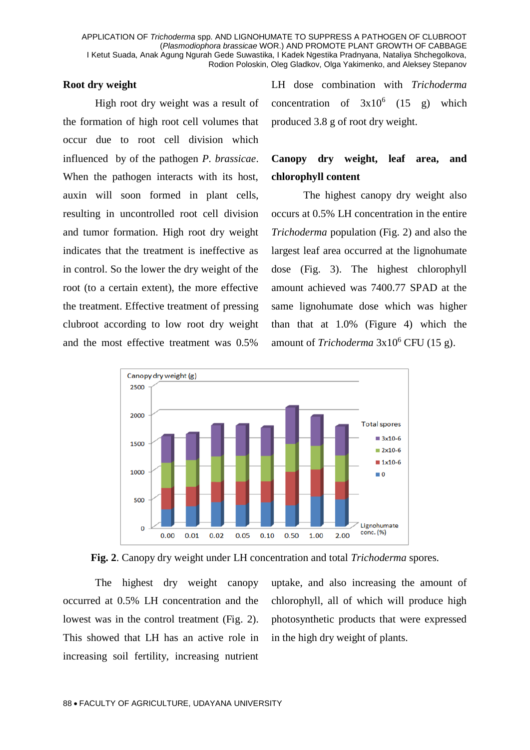### **Root dry weight**

High root dry weight was a result of the formation of high root cell volumes that occur due to root cell division which influenced by of the pathogen *P. brassicae*. When the pathogen interacts with its host, auxin will soon formed in plant cells, resulting in uncontrolled root cell division and tumor formation. High root dry weight indicates that the treatment is ineffective as in control. So the lower the dry weight of the root (to a certain extent), the more effective the treatment. Effective treatment of pressing clubroot according to low root dry weight and the most effective treatment was 0.5%

LH dose combination with *Trichoderma*  concentration of  $3x10^6$  (15 g) which produced 3.8 g of root dry weight.

## **Canopy dry weight, leaf area, and chlorophyll content**

The highest canopy dry weight also occurs at 0.5% LH concentration in the entire *Trichoderma* population (Fig. 2) and also the largest leaf area occurred at the lignohumate dose (Fig. 3). The highest chlorophyll amount achieved was 7400.77 SPAD at the same lignohumate dose which was higher than that at 1.0% (Figure 4) which the amount of *Trichoderma* 3x10<sup>6</sup> CFU (15 g).





The highest dry weight canopy occurred at 0.5% LH concentration and the lowest was in the control treatment (Fig. 2). This showed that LH has an active role in increasing soil fertility, increasing nutrient uptake, and also increasing the amount of chlorophyll, all of which will produce high photosynthetic products that were expressed in the high dry weight of plants.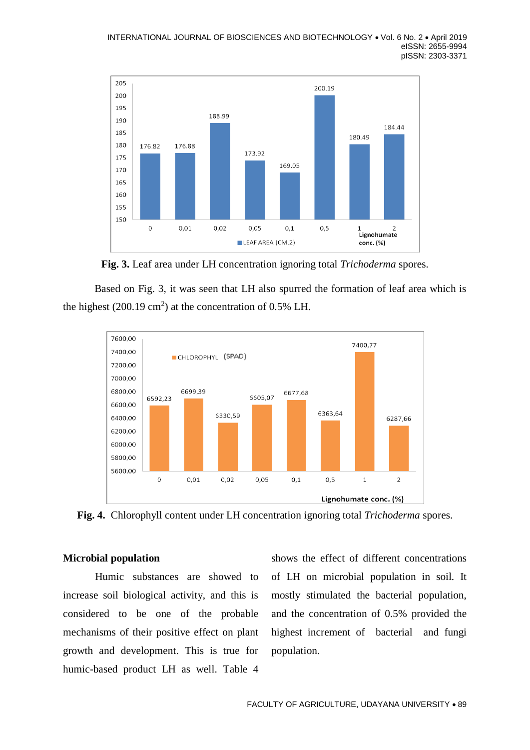

**Fig. 3.** Leaf area under LH concentration ignoring total *Trichoderma* spores.

Based on Fig. 3, it was seen that LH also spurred the formation of leaf area which is the highest  $(200.19 \text{ cm}^2)$  at the concentration of 0.5% LH.





## **Microbial population**

Humic substances are showed to increase soil biological activity, and this is considered to be one of the probable mechanisms of their positive effect on plant growth and development. This is true for humic-based product LH as well. Table 4

shows the effect of different concentrations of LH on microbial population in soil. It mostly stimulated the bacterial population, and the concentration of 0.5% provided the highest increment of bacterial and fungi population.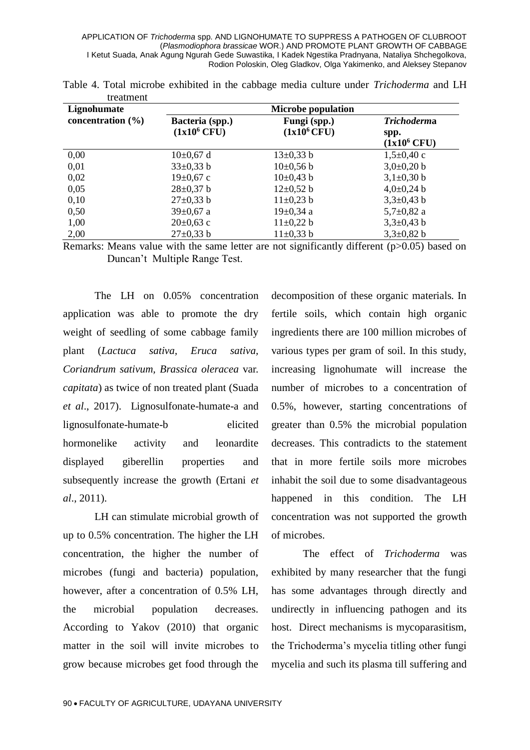| Lignohumate           | <b>Microbe population</b>         |                                |                                              |  |  |  |  |  |
|-----------------------|-----------------------------------|--------------------------------|----------------------------------------------|--|--|--|--|--|
| concentration $(\% )$ | Bacteria (spp.)<br>$(1x10^6$ CFU) | Fungi (spp.)<br>$(1x10^6$ CFU) | <i>Trichoderma</i><br>spp.<br>$(1x10^6$ CFU) |  |  |  |  |  |
| 0,00                  | $10\pm0.67$ d                     | $13\pm0.33$ b                  | $1,5\pm0,40$ c                               |  |  |  |  |  |
| 0,01                  | $33\pm0.33$ b                     | $10\pm0,56 b$                  | $3,0\pm0,20$ b                               |  |  |  |  |  |
| 0,02                  | $19\pm0.67$ c                     | $10\pm0.43$ b                  | $3,1\pm0,30$ b                               |  |  |  |  |  |
| 0,05                  | $28 \pm 0.37$ b                   | $12+0,52 b$                    | $4,0\pm0,24$ b                               |  |  |  |  |  |
| 0,10                  | $27 \pm 0.33$ b                   | $11\pm0.23$ b                  | $3,3\pm0,43$ b                               |  |  |  |  |  |
| 0,50                  | $39 \pm 0.67$ a                   | $19+0,34$ a                    | $5,7\pm0,82$ a                               |  |  |  |  |  |
| 1,00                  | $20 \pm 0.63$ c                   | $11\pm0.22 b$                  | $3,3\pm0,43$ b                               |  |  |  |  |  |
| 2,00                  | $27 \pm 0.33$ b                   | $11\pm0.33$ b                  | $3,3\pm0,82$ b                               |  |  |  |  |  |

|           |  |  |  | Table 4. Total microbe exhibited in the cabbage media culture under <i>Trichoderma</i> and LH |  |
|-----------|--|--|--|-----------------------------------------------------------------------------------------------|--|
| treatment |  |  |  |                                                                                               |  |

Remarks: Means value with the same letter are not significantly different (p>0.05) based on Duncan't Multiple Range Test.

The LH on 0.05% concentration application was able to promote the dry weight of seedling of some cabbage family plant (*Lactuca sativa, Eruca sativa, Coriandrum sativum, Brassica oleracea* var. *capitata*) as twice of non treated plant (Suada *et al*., 2017). Lignosulfonate-humate-a and lignosulfonate-humate-b elicited hormonelike activity and leonardite displayed giberellin properties and subsequently increase the growth (Ertani *et al*., 2011).

LH can stimulate microbial growth of up to 0.5% concentration. The higher the LH concentration, the higher the number of microbes (fungi and bacteria) population, however, after a concentration of 0.5% LH, the microbial population decreases. According to Yakov (2010) that organic matter in the soil will invite microbes to grow because microbes get food through the

decomposition of these organic materials. In fertile soils, which contain high organic ingredients there are 100 million microbes of various types per gram of soil. In this study, increasing lignohumate will increase the number of microbes to a concentration of 0.5%, however, starting concentrations of greater than 0.5% the microbial population decreases. This contradicts to the statement that in more fertile soils more microbes inhabit the soil due to some disadvantageous happened in this condition. The LH concentration was not supported the growth of microbes.

The effect of *Trichoderma* was exhibited by many researcher that the fungi has some advantages through directly and undirectly in influencing pathogen and its host. Direct mechanisms is mycoparasitism, the Trichoderma's mycelia titling other fungi mycelia and such its plasma till suffering and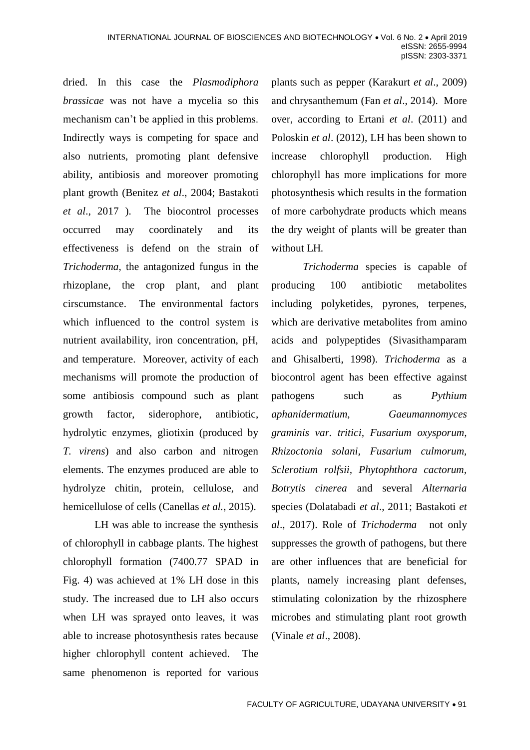dried. In this case the *Plasmodiphora brassicae* was not have a mycelia so this mechanism can't be applied in this problems. Indirectly ways is competing for space and also nutrients, promoting plant defensive ability, antibiosis and moreover promoting plant growth (Benitez *et al*., 2004; Bastakoti *et al*., 2017 ). The biocontrol processes occurred may coordinately and its effectiveness is defend on the strain of *Trichoderma,* the antagonized fungus in the rhizoplane, the crop plant, and plant cirscumstance. The environmental factors which influenced to the control system is nutrient availability, iron concentration, pH, and temperature. Moreover, activity of each mechanisms will promote the production of some antibiosis compound such as plant growth factor, siderophore, antibiotic, hydrolytic enzymes, gliotixin (produced by *T. virens*) and also carbon and nitrogen elements. The enzymes produced are able to hydrolyze chitin, protein, cellulose, and hemicellulose of cells (Canellas *et al.*, 2015).

LH was able to increase the synthesis of chlorophyll in cabbage plants. The highest chlorophyll formation (7400.77 SPAD in Fig. 4) was achieved at 1% LH dose in this study. The increased due to LH also occurs when LH was sprayed onto leaves, it was able to increase photosynthesis rates because higher chlorophyll content achieved. The same phenomenon is reported for various

plants such as pepper (Karakurt *et al*., 2009) and chrysanthemum (Fan *et al*., 2014). More over, according to Ertani *et al*. (2011) and Poloskin *et al*. (2012), LH has been shown to increase chlorophyll production. High chlorophyll has more implications for more photosynthesis which results in the formation of more carbohydrate products which means the dry weight of plants will be greater than without LH.

*Trichoderma* species is capable of producing 100 antibiotic metabolites including polyketides, pyrones, terpenes, which are derivative metabolites from amino acids and polypeptides (Sivasithamparam and Ghisalberti, [1998\)](https://www.ncbi.nlm.nih.gov/pmc/articles/PMC2886115/#CR144). *Trichoderma* as a biocontrol agent has been effective against pathogens such as *Pythium aphanidermatium, Gaeumannomyces graminis var. tritici, Fusarium oxysporum, Rhizoctonia solani, Fusarium culmorum, Sclerotium rolfsii, Phytophthora cactorum, Botrytis cinerea* and several *Alternaria* species (Dolatabadi *et al*., 2011; Bastakoti *et al*., 2017). Role of *Trichoderma* not only suppresses the growth of pathogens, but there are other influences that are beneficial for plants, namely increasing plant defenses, stimulating colonization by the rhizosphere microbes and stimulating plant root growth (Vinale *et al*., 2008).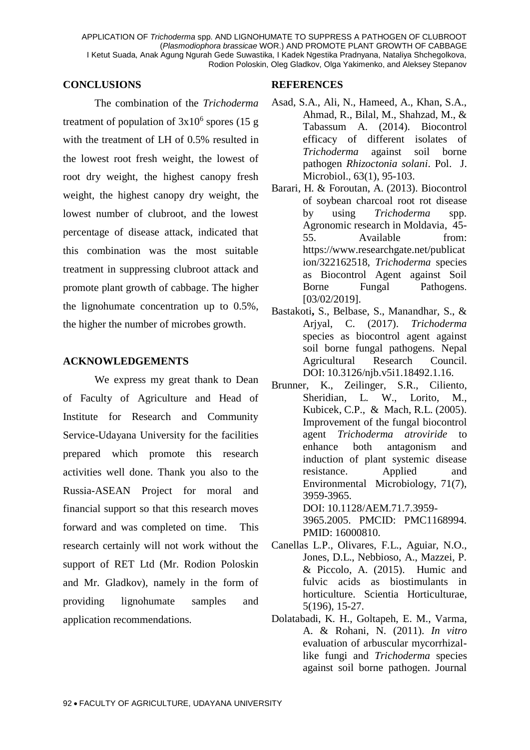#### **CONCLUSIONS**

The combination of the *Trichoderma* treatment of population of  $3x10^6$  spores (15 g with the treatment of LH of 0.5% resulted in the lowest root fresh weight, the lowest of root dry weight, the highest canopy fresh weight, the highest canopy dry weight, the lowest number of clubroot, and the lowest percentage of disease attack, indicated that this combination was the most suitable treatment in suppressing clubroot attack and promote plant growth of cabbage. The higher the lignohumate concentration up to 0.5%, the higher the number of microbes growth.

### **ACKNOWLEDGEMENTS**

We express my great thank to Dean of Faculty of Agriculture and Head of Institute for Research and Community Service-Udayana University for the facilities prepared which promote this research activities well done. Thank you also to the Russia-ASEAN Project for moral and financial support so that this research moves forward and was completed on time. This research certainly will not work without the support of RET Ltd (Mr. Rodion Poloskin and Mr. Gladkov), namely in the form of providing lignohumate samples and application recommendations.

### **REFERENCES**

- [Asad,](https://www.ncbi.nlm.nih.gov/pubmed/?term=Asad%20SA%5BAuthor%5D&cauthor=true&cauthor_uid=25033669) S.A., [Ali,](https://www.ncbi.nlm.nih.gov/pubmed/?term=Ali%20N%5BAuthor%5D&cauthor=true&cauthor_uid=25033669) N., [Hameed,](https://www.ncbi.nlm.nih.gov/pubmed/?term=Hameed%20A%5BAuthor%5D&cauthor=true&cauthor_uid=25033669) A., [Khan,](https://www.ncbi.nlm.nih.gov/pubmed/?term=Khan%20SA%5BAuthor%5D&cauthor=true&cauthor_uid=25033669) S.A., [Ahmad,](https://www.ncbi.nlm.nih.gov/pubmed/?term=Ahmad%20R%5BAuthor%5D&cauthor=true&cauthor_uid=25033669) R., [Bilal,](https://www.ncbi.nlm.nih.gov/pubmed/?term=Bilal%20M%5BAuthor%5D&cauthor=true&cauthor_uid=25033669) M., [Shahzad,](https://www.ncbi.nlm.nih.gov/pubmed/?term=Shahzad%20M%5BAuthor%5D&cauthor=true&cauthor_uid=25033669) M., & [Tabassum](https://www.ncbi.nlm.nih.gov/pubmed/?term=Tabassum%20A%5BAuthor%5D&cauthor=true&cauthor_uid=25033669) A. (2014). Biocontrol efficacy of different isolates of *Trichoderma* against soil borne pathogen *Rhizoctonia solani*. [Pol. J.](https://www.ncbi.nlm.nih.gov/pubmed/25033669)  [Microbiol.](https://www.ncbi.nlm.nih.gov/pubmed/25033669), 63(1), 95-103.
- Barari, H. & Foroutan, A. (2013). Biocontrol of soybean charcoal root rot disease by using *Trichoderma* spp. Agronomic research in Moldavia, 45- 55. Available from: [https://www.researchgate.net/publicat](https://www.researchgate.net/publication/322162518,%20Trichoderma%20species%20as%20Biocontrol%20Agent%20against%20Soil%20Borne%20Fungal%20Pathogens) [ion/322162518,](https://www.researchgate.net/publication/322162518,%20Trichoderma%20species%20as%20Biocontrol%20Agent%20against%20Soil%20Borne%20Fungal%20Pathogens) *Trichoderma* species [as Biocontrol Agent against Soil](https://www.researchgate.net/publication/322162518,%20Trichoderma%20species%20as%20Biocontrol%20Agent%20against%20Soil%20Borne%20Fungal%20Pathogens)  [Borne Fungal Pathogens](https://www.researchgate.net/publication/322162518,%20Trichoderma%20species%20as%20Biocontrol%20Agent%20against%20Soil%20Borne%20Fungal%20Pathogens). [03/02/2019].
- [Bastakoti](https://www.researchgate.net/scientific-contributions/2137134941_Srijana_Bastakoti)**,** S., [Belbase,](https://www.researchgate.net/scientific-contributions/2137119900_Shiva_Belbase) S., [Manandhar,](https://www.researchgate.net/profile/Shrinkhala_Manandhar2) S., & [Arjyal,](https://www.researchgate.net/scientific-contributions/2137179770_Charu_Arjyal) C. (2017). *Trichoderma*  species as biocontrol agent against soil borne fungal pathogens. [Nepal](https://www.researchgate.net/institution/Nepal_Agricultural_Research_Council) [Agricultural](https://www.researchgate.net/institution/Nepal_Agricultural_Research_Council) Research Council. DOI: 10.3126/njb.v5i1.18492[.1.16.](https://www.researchgate.net/profile/Shrinkhala_Manandhar2)
- [Brunner,](https://www.ncbi.nlm.nih.gov/pubmed/?term=Brunner%20K%5BAuthor%5D&cauthor=true&cauthor_uid=16000810) K., [Zeilinger,](https://www.ncbi.nlm.nih.gov/pubmed/?term=Zeilinger%20S%5BAuthor%5D&cauthor=true&cauthor_uid=16000810) S.R., [Ciliento,](https://www.ncbi.nlm.nih.gov/pubmed/?term=Ciliento%20R%5BAuthor%5D&cauthor=true&cauthor_uid=16000810) [Sheridian,](https://www.ncbi.nlm.nih.gov/pubmed/?term=Woo%20SL%5BAuthor%5D&cauthor=true&cauthor_uid=16000810) L. W., [Lorito,](https://www.ncbi.nlm.nih.gov/pubmed/?term=Lorito%20M%5BAuthor%5D&cauthor=true&cauthor_uid=16000810) M., [Kubicek,](https://www.ncbi.nlm.nih.gov/pubmed/?term=Kubicek%20CP%5BAuthor%5D&cauthor=true&cauthor_uid=16000810) C.P., & [Mach,](https://www.ncbi.nlm.nih.gov/pubmed/?term=Mach%20RL%5BAuthor%5D&cauthor=true&cauthor_uid=16000810) R.L. (2005). Improvement of the fungal biocontrol agent *Trichoderma atroviride* to enhance both antagonism and induction of plant systemic disease resistance. [Applied and](https://www.ncbi.nlm.nih.gov/pmc/articles/PMC1168994/)  [Environmental Microbiolo](https://www.ncbi.nlm.nih.gov/pmc/articles/PMC1168994/)gy, 71(7), 3959-3965. DOI: [10.1128/AEM.71.7.3959-](https://dx.doi.org/10.1128%2FAEM.71.7.3959-3965.2005) [3965.2005.](https://dx.doi.org/10.1128%2FAEM.71.7.3959-3965.2005) PMCID: PMC1168994. PMID: [16000810.](https://www.ncbi.nlm.nih.gov/pubmed/16000810)
- Canellas L.P., Olivares, F.L., Aguiar, N.O., Jones, D.L., Nebbioso, A., Mazzei, P. & Piccolo, A. (2015). Humic and fulvic acids as biostimulants in horticulture. Scientia Horticulturae, 5(196), 15-27.
- Dolatabadi, K. H., Goltapeh, E. M., Varma, A. & Rohani, N. (2011). *In vitro* evaluation of arbuscular mycorrhizallike fungi and *Trichoderma* species against soil borne pathogen. Journal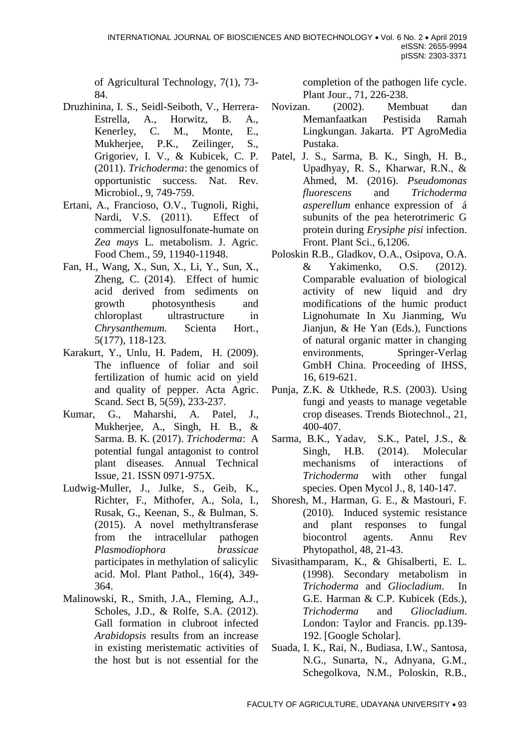of Agricultural Technology, 7(1), 73- 84.

- Druzhinina, I. S., Seidl-Seiboth, V., Herrera-Estrella, A., Horwitz, B. A., Kenerley, C. M., Monte, E., Mukherjee, P.K., Zeilinger, S., Grigoriev, I. V., & Kubicek, C. P. (2011). *Trichoderma*: the genomics of opportunistic success. Nat. Rev. Microbiol., 9, 749-759.
- Ertani, A., Francioso, O.V., Tugnoli, Righi, Nardi, V.S. (2011). Effect of commercial lignosulfonate-humate on *Zea mays* L. metabolism. J. Agric. Food Chem., 59, 11940-11948.
- Fan, H., Wang, X., Sun, X., Li, Y., Sun, X., Zheng, C. (2014). Effect of humic acid derived from sediments on growth photosynthesis and chloroplast ultrastructure in *Chrysanthemum.* Scienta Hort., 5(177), 118-123.
- Karakurt, Y., Unlu, H. Padem, H. (2009). The influence of foliar and soil fertilization of humic acid on yield and quality of pepper. Acta Agric. Scand. Sect B, 5(59), 233-237.
- Kumar, G., Maharshi, A. Patel, J., Mukherjee, A., Singh, H. B., & Sarma. B. K. (2017). *Trichoderma*: A potential fungal antagonist to control plant diseases. Annual Technical Issue, 21. ISSN 0971-975X.
- Ludwig-Muller, J., Julke, S., Geib, K., Richter, F., Mithofer, A., Sola, I., Rusak, G., Keenan, S., & Bulman, S. (2015). A novel methyltransferase from the intracellular pathogen *Plasmodiophora brassicae*  participates in methylation of salicylic acid. Mol. Plant Pathol., [16\(4\)](https://onlinelibrary.wiley.com/toc/13643703/2015/16/4), 349- 364.
- Malinowski, R., Smith, J.A., Fleming, A.J., Scholes, J.D., & Rolfe, S.A. (2012). Gall formation in clubroot infected *Arabidopsis* results from an increase in existing meristematic activities of the host but is not essential for the

completion of the pathogen life cycle. Plant Jour., 71, 226-238.

- Novizan. (2002). Membuat dan Memanfaatkan Pestisida Ramah Lingkungan. Jakarta. PT AgroMedia Pustaka.
- Patel, J. S., Sarma, B. K., Singh, H. B., Upadhyay, R. S., Kharwar, R.N., & Ahmed, M. (2016). *Pseudomonas fluorescens* and *Trichoderma asperellum* enhance expression of á subunits of the pea heterotrimeric G protein during *Erysiphe pisi* infection. Front. Plant Sci., 6,1206.
- Poloskin R.B., Gladkov, O.A., Osipova, O.A. & Yakimenko, O.S. (2012). Comparable evaluation of biological activity of new liquid and dry modifications of the humic product Lignohumate In Xu Jianming, Wu Jianjun, & He Yan (Eds.), Functions of natural organic matter in changing environments, Springer-Verlag GmbH China. Proceeding of IHSS, 16, 619-621.
- Punja, Z.K. & Utkhede, R.S. (2003). Using fungi and yeasts to manage vegetable crop diseases. Trends Biotechnol., 21, 400-407.
- Sarma, B.K., Yadav, S.K., Patel, J.S., & Singh, H.B. (2014). Molecular mechanisms of interactions of *Trichoderma* with other fungal species. Open Mycol J., 8, 140-147.
- Shoresh, M., Harman, G. E., & Mastouri, F. (2010). Induced systemic resistance and plant responses to fungal biocontrol agents. Annu Rev Phytopathol, 48, 21-43.
- Sivasithamparam, K., & Ghisalberti, E. L. (1998). Secondary metabolism in *Trichoderma* and *Gliocladium*. In G.E. Harman & C.P. Kubicek (Eds.), *Trichoderma* and *Gliocladium*. London: Taylor and Francis. pp.139- 192. [\[Google Scholar\]](https://scholar.google.com/scholar_lookup?title=Trichoderma+and+Gliocladium&author=K+Sivasithamparam&author=EL+Ghisalberti&publication_year=1998&).
- Suada, I. K., Rai, N., Budiasa, I.W., Santosa, N.G., Sunarta, N., Adnyana, G.M., Schegolkova, N.M., Poloskin, R.B.,